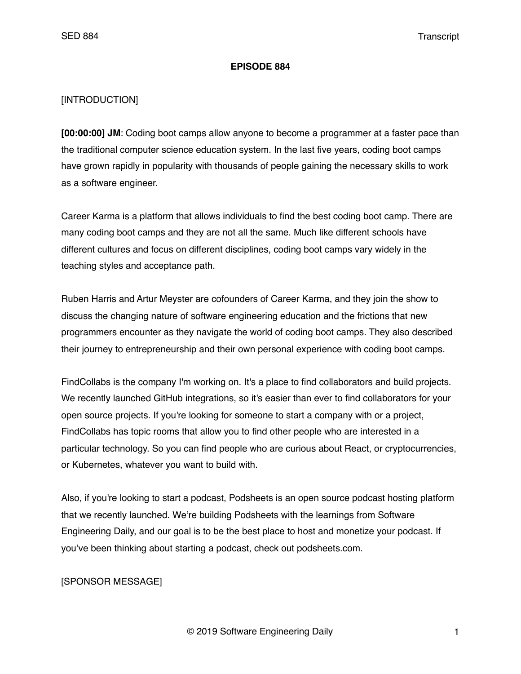### **EPISODE 884**

## [INTRODUCTION]

**[00:00:00] JM**: Coding boot camps allow anyone to become a programmer at a faster pace than the traditional computer science education system. In the last five years, coding boot camps have grown rapidly in popularity with thousands of people gaining the necessary skills to work as a software engineer.

Career Karma is a platform that allows individuals to find the best coding boot camp. There are many coding boot camps and they are not all the same. Much like different schools have different cultures and focus on different disciplines, coding boot camps vary widely in the teaching styles and acceptance path.

Ruben Harris and Artur Meyster are cofounders of Career Karma, and they join the show to discuss the changing nature of software engineering education and the frictions that new programmers encounter as they navigate the world of coding boot camps. They also described their journey to entrepreneurship and their own personal experience with coding boot camps.

FindCollabs is the company I'm working on. It's a place to find collaborators and build projects. We recently launched GitHub integrations, so it's easier than ever to find collaborators for your open source projects. If you're looking for someone to start a company with or a project, FindCollabs has topic rooms that allow you to find other people who are interested in a particular technology. So you can find people who are curious about React, or cryptocurrencies, or Kubernetes, whatever you want to build with.

Also, if you're looking to start a podcast, Podsheets is an open source podcast hosting platform that we recently launched. We're building Podsheets with the learnings from Software Engineering Daily, and our goal is to be the best place to host and monetize your podcast. If you've been thinking about starting a podcast, check out podsheets.com.

# [SPONSOR MESSAGE]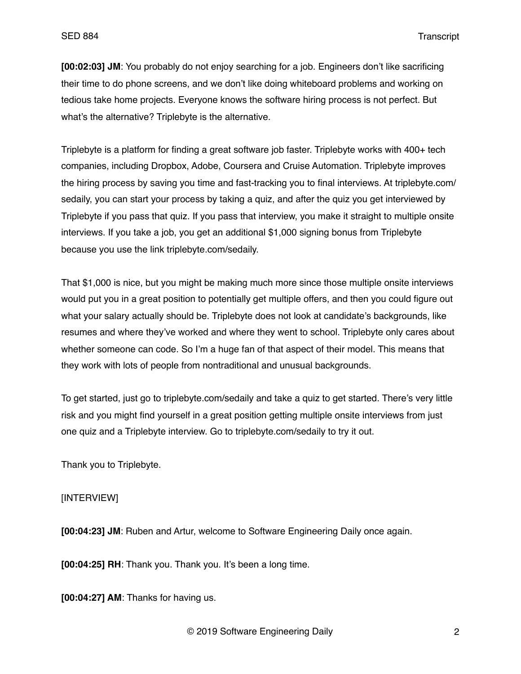**[00:02:03] JM**: You probably do not enjoy searching for a job. Engineers don't like sacrificing their time to do phone screens, and we don't like doing whiteboard problems and working on tedious take home projects. Everyone knows the software hiring process is not perfect. But what's the alternative? Triplebyte is the alternative.

Triplebyte is a platform for finding a great software job faster. Triplebyte works with 400+ tech companies, including Dropbox, Adobe, Coursera and Cruise Automation. Triplebyte improves the hiring process by saving you time and fast-tracking you to final interviews. At triplebyte.com/ sedaily, you can start your process by taking a quiz, and after the quiz you get interviewed by Triplebyte if you pass that quiz. If you pass that interview, you make it straight to multiple onsite interviews. If you take a job, you get an additional \$1,000 signing bonus from Triplebyte because you use the link triplebyte.com/sedaily.

That \$1,000 is nice, but you might be making much more since those multiple onsite interviews would put you in a great position to potentially get multiple offers, and then you could figure out what your salary actually should be. Triplebyte does not look at candidate's backgrounds, like resumes and where they've worked and where they went to school. Triplebyte only cares about whether someone can code. So I'm a huge fan of that aspect of their model. This means that they work with lots of people from nontraditional and unusual backgrounds.

To get started, just go to triplebyte.com/sedaily and take a quiz to get started. There's very little risk and you might find yourself in a great position getting multiple onsite interviews from just one quiz and a Triplebyte interview. Go to triplebyte.com/sedaily to try it out.

Thank you to Triplebyte.

### [INTERVIEW]

**[00:04:23] JM**: Ruben and Artur, welcome to Software Engineering Daily once again.

**[00:04:25] RH**: Thank you. Thank you. It's been a long time.

**[00:04:27] AM**: Thanks for having us.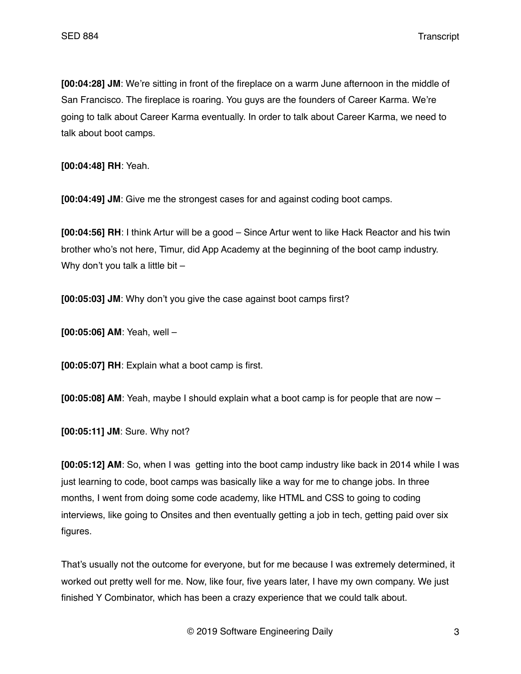**[00:04:28] JM**: We're sitting in front of the fireplace on a warm June afternoon in the middle of San Francisco. The fireplace is roaring. You guys are the founders of Career Karma. We're going to talk about Career Karma eventually. In order to talk about Career Karma, we need to talk about boot camps.

**[00:04:48] RH**: Yeah.

**[00:04:49] JM**: Give me the strongest cases for and against coding boot camps.

**[00:04:56] RH**: I think Artur will be a good – Since Artur went to like Hack Reactor and his twin brother who's not here, Timur, did App Academy at the beginning of the boot camp industry. Why don't you talk a little bit -

**[00:05:03] JM**: Why don't you give the case against boot camps first?

**[00:05:06] AM**: Yeah, well –

**[00:05:07] RH**: Explain what a boot camp is first.

**[00:05:08] AM**: Yeah, maybe I should explain what a boot camp is for people that are now –

**[00:05:11] JM**: Sure. Why not?

**[00:05:12] AM**: So, when I was getting into the boot camp industry like back in 2014 while I was just learning to code, boot camps was basically like a way for me to change jobs. In three months, I went from doing some code academy, like HTML and CSS to going to coding interviews, like going to Onsites and then eventually getting a job in tech, getting paid over six figures.

That's usually not the outcome for everyone, but for me because I was extremely determined, it worked out pretty well for me. Now, like four, five years later, I have my own company. We just finished Y Combinator, which has been a crazy experience that we could talk about.

© 2019 Software Engineering Daily 3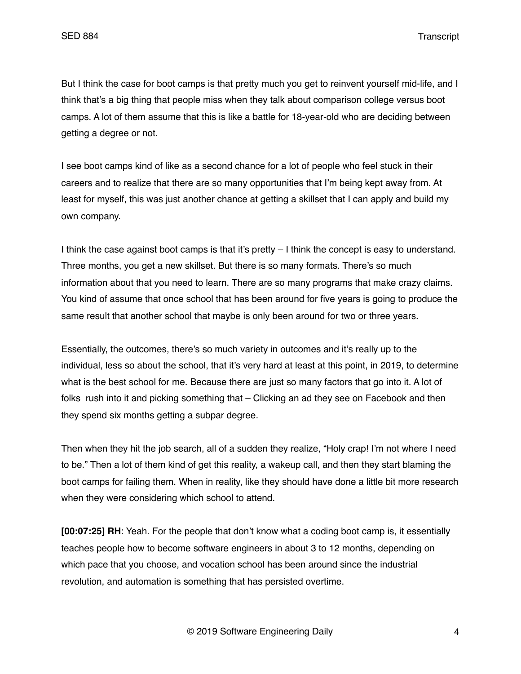But I think the case for boot camps is that pretty much you get to reinvent yourself mid-life, and I think that's a big thing that people miss when they talk about comparison college versus boot camps. A lot of them assume that this is like a battle for 18-year-old who are deciding between getting a degree or not.

I see boot camps kind of like as a second chance for a lot of people who feel stuck in their careers and to realize that there are so many opportunities that I'm being kept away from. At least for myself, this was just another chance at getting a skillset that I can apply and build my own company.

I think the case against boot camps is that it's pretty – I think the concept is easy to understand. Three months, you get a new skillset. But there is so many formats. There's so much information about that you need to learn. There are so many programs that make crazy claims. You kind of assume that once school that has been around for five years is going to produce the same result that another school that maybe is only been around for two or three years.

Essentially, the outcomes, there's so much variety in outcomes and it's really up to the individual, less so about the school, that it's very hard at least at this point, in 2019, to determine what is the best school for me. Because there are just so many factors that go into it. A lot of folks rush into it and picking something that – Clicking an ad they see on Facebook and then they spend six months getting a subpar degree.

Then when they hit the job search, all of a sudden they realize, "Holy crap! I'm not where I need to be." Then a lot of them kind of get this reality, a wakeup call, and then they start blaming the boot camps for failing them. When in reality, like they should have done a little bit more research when they were considering which school to attend.

**[00:07:25] RH**: Yeah. For the people that don't know what a coding boot camp is, it essentially teaches people how to become software engineers in about 3 to 12 months, depending on which pace that you choose, and vocation school has been around since the industrial revolution, and automation is something that has persisted overtime.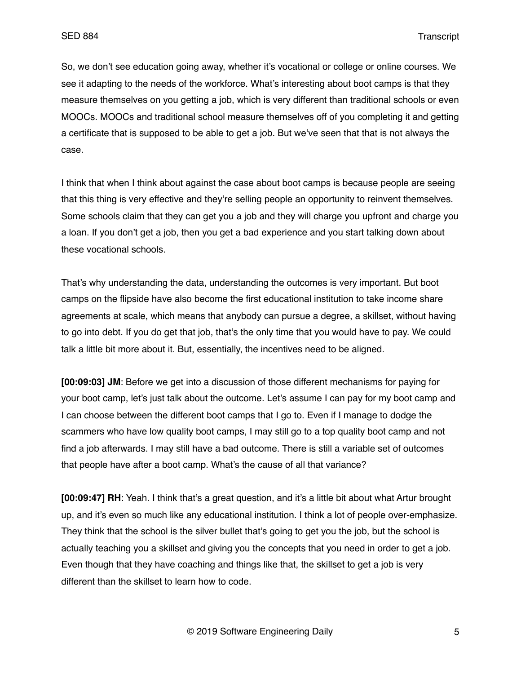So, we don't see education going away, whether it's vocational or college or online courses. We see it adapting to the needs of the workforce. What's interesting about boot camps is that they measure themselves on you getting a job, which is very different than traditional schools or even MOOCs. MOOCs and traditional school measure themselves off of you completing it and getting a certificate that is supposed to be able to get a job. But we've seen that that is not always the case.

I think that when I think about against the case about boot camps is because people are seeing that this thing is very effective and they're selling people an opportunity to reinvent themselves. Some schools claim that they can get you a job and they will charge you upfront and charge you a loan. If you don't get a job, then you get a bad experience and you start talking down about these vocational schools.

That's why understanding the data, understanding the outcomes is very important. But boot camps on the flipside have also become the first educational institution to take income share agreements at scale, which means that anybody can pursue a degree, a skillset, without having to go into debt. If you do get that job, that's the only time that you would have to pay. We could talk a little bit more about it. But, essentially, the incentives need to be aligned.

**[00:09:03] JM**: Before we get into a discussion of those different mechanisms for paying for your boot camp, let's just talk about the outcome. Let's assume I can pay for my boot camp and I can choose between the different boot camps that I go to. Even if I manage to dodge the scammers who have low quality boot camps, I may still go to a top quality boot camp and not find a job afterwards. I may still have a bad outcome. There is still a variable set of outcomes that people have after a boot camp. What's the cause of all that variance?

**[00:09:47] RH**: Yeah. I think that's a great question, and it's a little bit about what Artur brought up, and it's even so much like any educational institution. I think a lot of people over-emphasize. They think that the school is the silver bullet that's going to get you the job, but the school is actually teaching you a skillset and giving you the concepts that you need in order to get a job. Even though that they have coaching and things like that, the skillset to get a job is very different than the skillset to learn how to code.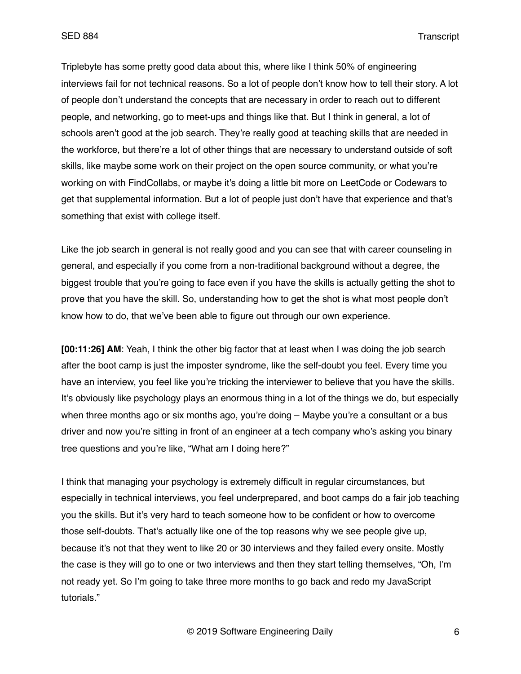Triplebyte has some pretty good data about this, where like I think 50% of engineering interviews fail for not technical reasons. So a lot of people don't know how to tell their story. A lot of people don't understand the concepts that are necessary in order to reach out to different people, and networking, go to meet-ups and things like that. But I think in general, a lot of schools aren't good at the job search. They're really good at teaching skills that are needed in the workforce, but there're a lot of other things that are necessary to understand outside of soft skills, like maybe some work on their project on the open source community, or what you're working on with FindCollabs, or maybe it's doing a little bit more on LeetCode or Codewars to get that supplemental information. But a lot of people just don't have that experience and that's something that exist with college itself.

Like the job search in general is not really good and you can see that with career counseling in general, and especially if you come from a non-traditional background without a degree, the biggest trouble that you're going to face even if you have the skills is actually getting the shot to prove that you have the skill. So, understanding how to get the shot is what most people don't know how to do, that we've been able to figure out through our own experience.

**[00:11:26] AM**: Yeah, I think the other big factor that at least when I was doing the job search after the boot camp is just the imposter syndrome, like the self-doubt you feel. Every time you have an interview, you feel like you're tricking the interviewer to believe that you have the skills. It's obviously like psychology plays an enormous thing in a lot of the things we do, but especially when three months ago or six months ago, you're doing – Maybe you're a consultant or a bus driver and now you're sitting in front of an engineer at a tech company who's asking you binary tree questions and you're like, "What am I doing here?"

I think that managing your psychology is extremely difficult in regular circumstances, but especially in technical interviews, you feel underprepared, and boot camps do a fair job teaching you the skills. But it's very hard to teach someone how to be confident or how to overcome those self-doubts. That's actually like one of the top reasons why we see people give up, because it's not that they went to like 20 or 30 interviews and they failed every onsite. Mostly the case is they will go to one or two interviews and then they start telling themselves, "Oh, I'm not ready yet. So I'm going to take three more months to go back and redo my JavaScript tutorials."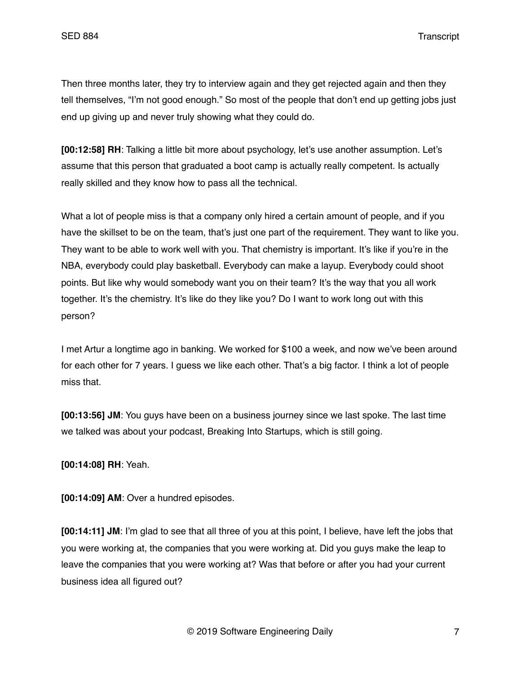Then three months later, they try to interview again and they get rejected again and then they tell themselves, "I'm not good enough." So most of the people that don't end up getting jobs just end up giving up and never truly showing what they could do.

**[00:12:58] RH**: Talking a little bit more about psychology, let's use another assumption. Let's assume that this person that graduated a boot camp is actually really competent. Is actually really skilled and they know how to pass all the technical.

What a lot of people miss is that a company only hired a certain amount of people, and if you have the skillset to be on the team, that's just one part of the requirement. They want to like you. They want to be able to work well with you. That chemistry is important. It's like if you're in the NBA, everybody could play basketball. Everybody can make a layup. Everybody could shoot points. But like why would somebody want you on their team? It's the way that you all work together. It's the chemistry. It's like do they like you? Do I want to work long out with this person?

I met Artur a longtime ago in banking. We worked for \$100 a week, and now we've been around for each other for 7 years. I guess we like each other. That's a big factor. I think a lot of people miss that.

**[00:13:56] JM**: You guys have been on a business journey since we last spoke. The last time we talked was about your podcast, Breaking Into Startups, which is still going.

**[00:14:08] RH**: Yeah.

**[00:14:09] AM**: Over a hundred episodes.

**[00:14:11] JM**: I'm glad to see that all three of you at this point, I believe, have left the jobs that you were working at, the companies that you were working at. Did you guys make the leap to leave the companies that you were working at? Was that before or after you had your current business idea all figured out?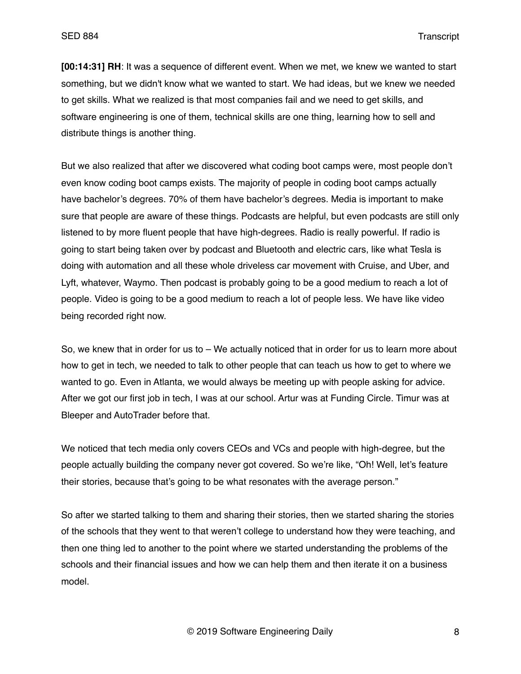**[00:14:31] RH**: It was a sequence of different event. When we met, we knew we wanted to start something, but we didn't know what we wanted to start. We had ideas, but we knew we needed to get skills. What we realized is that most companies fail and we need to get skills, and software engineering is one of them, technical skills are one thing, learning how to sell and distribute things is another thing.

But we also realized that after we discovered what coding boot camps were, most people don't even know coding boot camps exists. The majority of people in coding boot camps actually have bachelor's degrees. 70% of them have bachelor's degrees. Media is important to make sure that people are aware of these things. Podcasts are helpful, but even podcasts are still only listened to by more fluent people that have high-degrees. Radio is really powerful. If radio is going to start being taken over by podcast and Bluetooth and electric cars, like what Tesla is doing with automation and all these whole driveless car movement with Cruise, and Uber, and Lyft, whatever, Waymo. Then podcast is probably going to be a good medium to reach a lot of people. Video is going to be a good medium to reach a lot of people less. We have like video being recorded right now.

So, we knew that in order for us to – We actually noticed that in order for us to learn more about how to get in tech, we needed to talk to other people that can teach us how to get to where we wanted to go. Even in Atlanta, we would always be meeting up with people asking for advice. After we got our first job in tech, I was at our school. Artur was at Funding Circle. Timur was at Bleeper and AutoTrader before that.

We noticed that tech media only covers CEOs and VCs and people with high-degree, but the people actually building the company never got covered. So we're like, "Oh! Well, let's feature their stories, because that's going to be what resonates with the average person."

So after we started talking to them and sharing their stories, then we started sharing the stories of the schools that they went to that weren't college to understand how they were teaching, and then one thing led to another to the point where we started understanding the problems of the schools and their financial issues and how we can help them and then iterate it on a business model.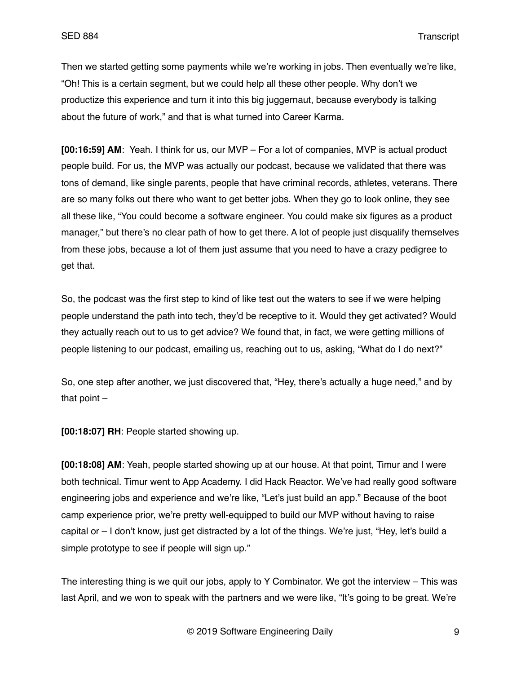Then we started getting some payments while we're working in jobs. Then eventually we're like, "Oh! This is a certain segment, but we could help all these other people. Why don't we productize this experience and turn it into this big juggernaut, because everybody is talking about the future of work," and that is what turned into Career Karma.

**[00:16:59] AM**: Yeah. I think for us, our MVP – For a lot of companies, MVP is actual product people build. For us, the MVP was actually our podcast, because we validated that there was tons of demand, like single parents, people that have criminal records, athletes, veterans. There are so many folks out there who want to get better jobs. When they go to look online, they see all these like, "You could become a software engineer. You could make six figures as a product manager," but there's no clear path of how to get there. A lot of people just disqualify themselves from these jobs, because a lot of them just assume that you need to have a crazy pedigree to get that.

So, the podcast was the first step to kind of like test out the waters to see if we were helping people understand the path into tech, they'd be receptive to it. Would they get activated? Would they actually reach out to us to get advice? We found that, in fact, we were getting millions of people listening to our podcast, emailing us, reaching out to us, asking, "What do I do next?"

So, one step after another, we just discovered that, "Hey, there's actually a huge need," and by that point  $-$ 

**[00:18:07] RH**: People started showing up.

**[00:18:08] AM**: Yeah, people started showing up at our house. At that point, Timur and I were both technical. Timur went to App Academy. I did Hack Reactor. We've had really good software engineering jobs and experience and we're like, "Let's just build an app." Because of the boot camp experience prior, we're pretty well-equipped to build our MVP without having to raise capital or – I don't know, just get distracted by a lot of the things. We're just, "Hey, let's build a simple prototype to see if people will sign up."

The interesting thing is we quit our jobs, apply to Y Combinator. We got the interview – This was last April, and we won to speak with the partners and we were like, "It's going to be great. We're

© 2019 Software Engineering Daily 9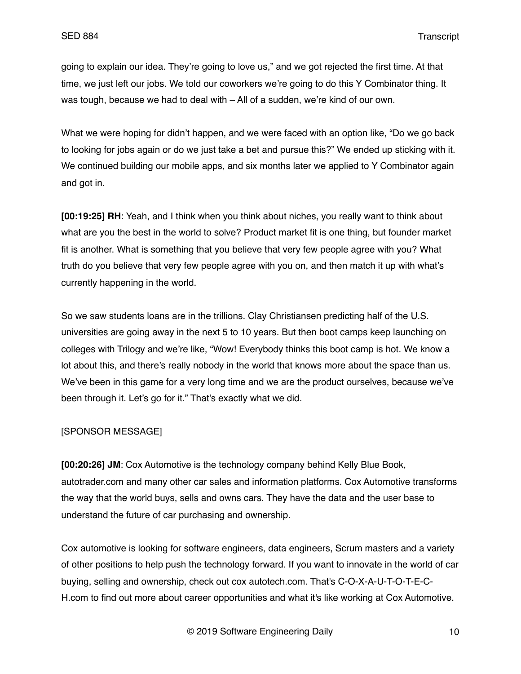going to explain our idea. They're going to love us," and we got rejected the first time. At that time, we just left our jobs. We told our coworkers we're going to do this Y Combinator thing. It was tough, because we had to deal with – All of a sudden, we're kind of our own.

What we were hoping for didn't happen, and we were faced with an option like, "Do we go back to looking for jobs again or do we just take a bet and pursue this?" We ended up sticking with it. We continued building our mobile apps, and six months later we applied to Y Combinator again and got in.

**[00:19:25] RH**: Yeah, and I think when you think about niches, you really want to think about what are you the best in the world to solve? Product market fit is one thing, but founder market fit is another. What is something that you believe that very few people agree with you? What truth do you believe that very few people agree with you on, and then match it up with what's currently happening in the world.

So we saw students loans are in the trillions. Clay Christiansen predicting half of the U.S. universities are going away in the next 5 to 10 years. But then boot camps keep launching on colleges with Trilogy and we're like, "Wow! Everybody thinks this boot camp is hot. We know a lot about this, and there's really nobody in the world that knows more about the space than us. We've been in this game for a very long time and we are the product ourselves, because we've been through it. Let's go for it." That's exactly what we did.

## [SPONSOR MESSAGE]

**[00:20:26] JM**: Cox Automotive is the technology company behind Kelly Blue Book, autotrader.com and many other car sales and information platforms. Cox Automotive transforms the way that the world buys, sells and owns cars. They have the data and the user base to understand the future of car purchasing and ownership.

Cox automotive is looking for software engineers, data engineers, Scrum masters and a variety of other positions to help push the technology forward. If you want to innovate in the world of car buying, selling and ownership, check out cox autotech.com. That's C-O-X-A-U-T-O-T-E-C-H.com to find out more about career opportunities and what it's like working at Cox Automotive.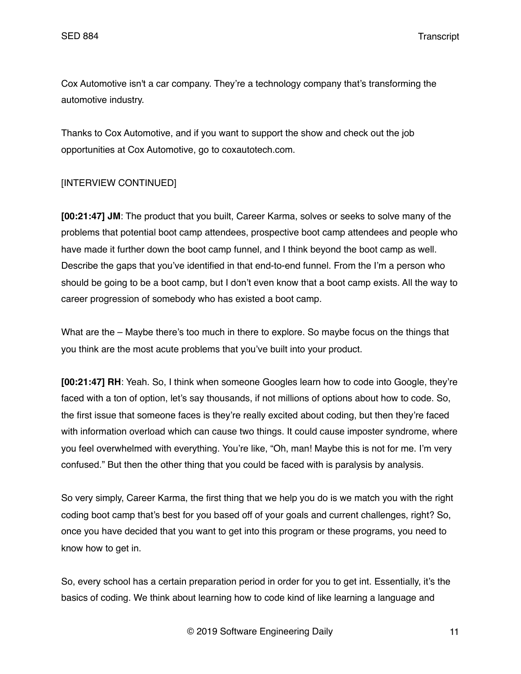Cox Automotive isn't a car company. They're a technology company that's transforming the automotive industry.

Thanks to Cox Automotive, and if you want to support the show and check out the job opportunities at Cox Automotive, go to coxautotech.com.

# [INTERVIEW CONTINUED]

**[00:21:47] JM**: The product that you built, Career Karma, solves or seeks to solve many of the problems that potential boot camp attendees, prospective boot camp attendees and people who have made it further down the boot camp funnel, and I think beyond the boot camp as well. Describe the gaps that you've identified in that end-to-end funnel. From the I'm a person who should be going to be a boot camp, but I don't even know that a boot camp exists. All the way to career progression of somebody who has existed a boot camp.

What are the – Maybe there's too much in there to explore. So maybe focus on the things that you think are the most acute problems that you've built into your product.

**[00:21:47] RH**: Yeah. So, I think when someone Googles learn how to code into Google, they're faced with a ton of option, let's say thousands, if not millions of options about how to code. So, the first issue that someone faces is they're really excited about coding, but then they're faced with information overload which can cause two things. It could cause imposter syndrome, where you feel overwhelmed with everything. You're like, "Oh, man! Maybe this is not for me. I'm very confused." But then the other thing that you could be faced with is paralysis by analysis.

So very simply, Career Karma, the first thing that we help you do is we match you with the right coding boot camp that's best for you based off of your goals and current challenges, right? So, once you have decided that you want to get into this program or these programs, you need to know how to get in.

So, every school has a certain preparation period in order for you to get int. Essentially, it's the basics of coding. We think about learning how to code kind of like learning a language and

© 2019 Software Engineering Daily 11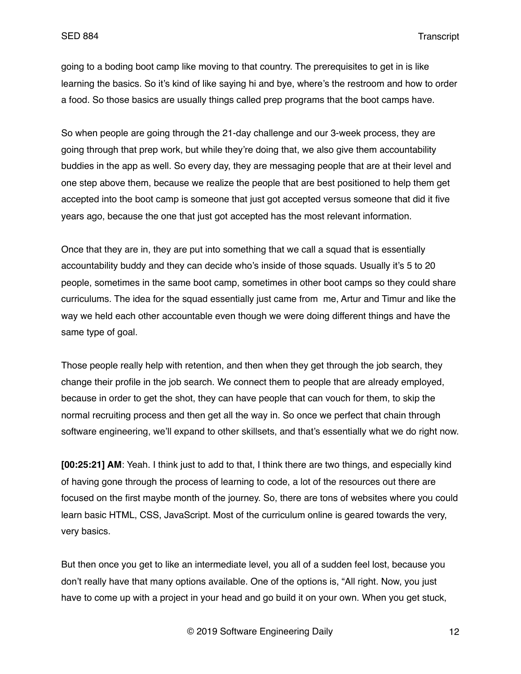going to a boding boot camp like moving to that country. The prerequisites to get in is like learning the basics. So it's kind of like saying hi and bye, where's the restroom and how to order a food. So those basics are usually things called prep programs that the boot camps have.

So when people are going through the 21-day challenge and our 3-week process, they are going through that prep work, but while they're doing that, we also give them accountability buddies in the app as well. So every day, they are messaging people that are at their level and one step above them, because we realize the people that are best positioned to help them get accepted into the boot camp is someone that just got accepted versus someone that did it five years ago, because the one that just got accepted has the most relevant information.

Once that they are in, they are put into something that we call a squad that is essentially accountability buddy and they can decide who's inside of those squads. Usually it's 5 to 20 people, sometimes in the same boot camp, sometimes in other boot camps so they could share curriculums. The idea for the squad essentially just came from me, Artur and Timur and like the way we held each other accountable even though we were doing different things and have the same type of goal.

Those people really help with retention, and then when they get through the job search, they change their profile in the job search. We connect them to people that are already employed, because in order to get the shot, they can have people that can vouch for them, to skip the normal recruiting process and then get all the way in. So once we perfect that chain through software engineering, we'll expand to other skillsets, and that's essentially what we do right now.

**[00:25:21] AM**: Yeah. I think just to add to that, I think there are two things, and especially kind of having gone through the process of learning to code, a lot of the resources out there are focused on the first maybe month of the journey. So, there are tons of websites where you could learn basic HTML, CSS, JavaScript. Most of the curriculum online is geared towards the very, very basics.

But then once you get to like an intermediate level, you all of a sudden feel lost, because you don't really have that many options available. One of the options is, "All right. Now, you just have to come up with a project in your head and go build it on your own. When you get stuck,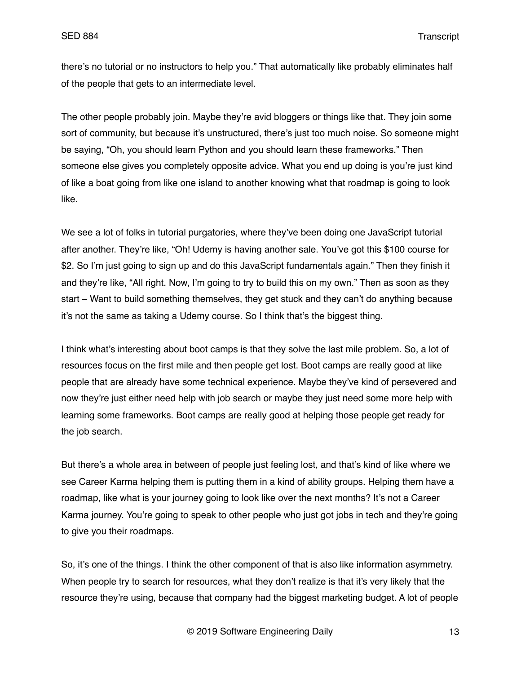there's no tutorial or no instructors to help you." That automatically like probably eliminates half of the people that gets to an intermediate level.

The other people probably join. Maybe they're avid bloggers or things like that. They join some sort of community, but because it's unstructured, there's just too much noise. So someone might be saying, "Oh, you should learn Python and you should learn these frameworks." Then someone else gives you completely opposite advice. What you end up doing is you're just kind of like a boat going from like one island to another knowing what that roadmap is going to look like.

We see a lot of folks in tutorial purgatories, where they've been doing one JavaScript tutorial after another. They're like, "Oh! Udemy is having another sale. You've got this \$100 course for \$2. So I'm just going to sign up and do this JavaScript fundamentals again." Then they finish it and they're like, "All right. Now, I'm going to try to build this on my own." Then as soon as they start – Want to build something themselves, they get stuck and they can't do anything because it's not the same as taking a Udemy course. So I think that's the biggest thing.

I think what's interesting about boot camps is that they solve the last mile problem. So, a lot of resources focus on the first mile and then people get lost. Boot camps are really good at like people that are already have some technical experience. Maybe they've kind of persevered and now they're just either need help with job search or maybe they just need some more help with learning some frameworks. Boot camps are really good at helping those people get ready for the job search.

But there's a whole area in between of people just feeling lost, and that's kind of like where we see Career Karma helping them is putting them in a kind of ability groups. Helping them have a roadmap, like what is your journey going to look like over the next months? It's not a Career Karma journey. You're going to speak to other people who just got jobs in tech and they're going to give you their roadmaps.

So, it's one of the things. I think the other component of that is also like information asymmetry. When people try to search for resources, what they don't realize is that it's very likely that the resource they're using, because that company had the biggest marketing budget. A lot of people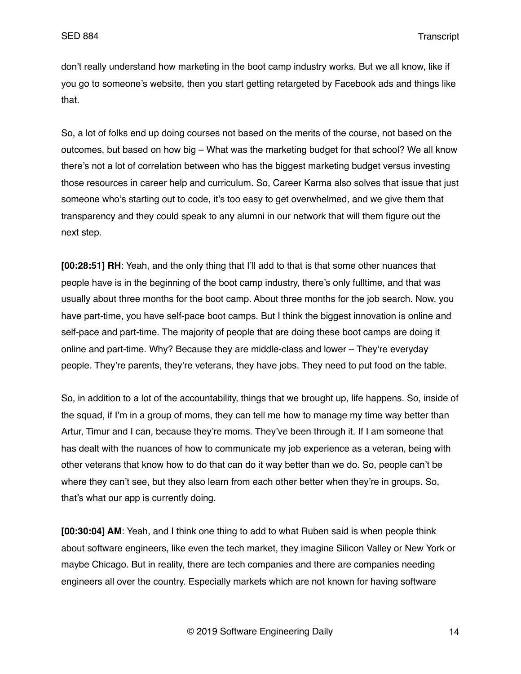don't really understand how marketing in the boot camp industry works. But we all know, like if you go to someone's website, then you start getting retargeted by Facebook ads and things like that.

So, a lot of folks end up doing courses not based on the merits of the course, not based on the outcomes, but based on how big – What was the marketing budget for that school? We all know there's not a lot of correlation between who has the biggest marketing budget versus investing those resources in career help and curriculum. So, Career Karma also solves that issue that just someone who's starting out to code, it's too easy to get overwhelmed, and we give them that transparency and they could speak to any alumni in our network that will them figure out the next step.

**[00:28:51] RH**: Yeah, and the only thing that I'll add to that is that some other nuances that people have is in the beginning of the boot camp industry, there's only fulltime, and that was usually about three months for the boot camp. About three months for the job search. Now, you have part-time, you have self-pace boot camps. But I think the biggest innovation is online and self-pace and part-time. The majority of people that are doing these boot camps are doing it online and part-time. Why? Because they are middle-class and lower – They're everyday people. They're parents, they're veterans, they have jobs. They need to put food on the table.

So, in addition to a lot of the accountability, things that we brought up, life happens. So, inside of the squad, if I'm in a group of moms, they can tell me how to manage my time way better than Artur, Timur and I can, because they're moms. They've been through it. If I am someone that has dealt with the nuances of how to communicate my job experience as a veteran, being with other veterans that know how to do that can do it way better than we do. So, people can't be where they can't see, but they also learn from each other better when they're in groups. So, that's what our app is currently doing.

**[00:30:04] AM**: Yeah, and I think one thing to add to what Ruben said is when people think about software engineers, like even the tech market, they imagine Silicon Valley or New York or maybe Chicago. But in reality, there are tech companies and there are companies needing engineers all over the country. Especially markets which are not known for having software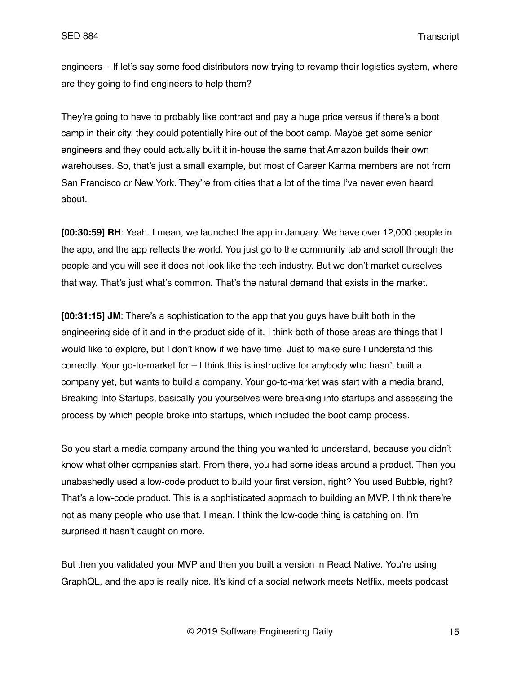engineers – If let's say some food distributors now trying to revamp their logistics system, where are they going to find engineers to help them?

They're going to have to probably like contract and pay a huge price versus if there's a boot camp in their city, they could potentially hire out of the boot camp. Maybe get some senior engineers and they could actually built it in-house the same that Amazon builds their own warehouses. So, that's just a small example, but most of Career Karma members are not from San Francisco or New York. They're from cities that a lot of the time I've never even heard about.

**[00:30:59] RH**: Yeah. I mean, we launched the app in January. We have over 12,000 people in the app, and the app reflects the world. You just go to the community tab and scroll through the people and you will see it does not look like the tech industry. But we don't market ourselves that way. That's just what's common. That's the natural demand that exists in the market.

**[00:31:15] JM**: There's a sophistication to the app that you guys have built both in the engineering side of it and in the product side of it. I think both of those areas are things that I would like to explore, but I don't know if we have time. Just to make sure I understand this correctly. Your go-to-market for – I think this is instructive for anybody who hasn't built a company yet, but wants to build a company. Your go-to-market was start with a media brand, Breaking Into Startups, basically you yourselves were breaking into startups and assessing the process by which people broke into startups, which included the boot camp process.

So you start a media company around the thing you wanted to understand, because you didn't know what other companies start. From there, you had some ideas around a product. Then you unabashedly used a low-code product to build your first version, right? You used Bubble, right? That's a low-code product. This is a sophisticated approach to building an MVP. I think there're not as many people who use that. I mean, I think the low-code thing is catching on. I'm surprised it hasn't caught on more.

But then you validated your MVP and then you built a version in React Native. You're using GraphQL, and the app is really nice. It's kind of a social network meets Netflix, meets podcast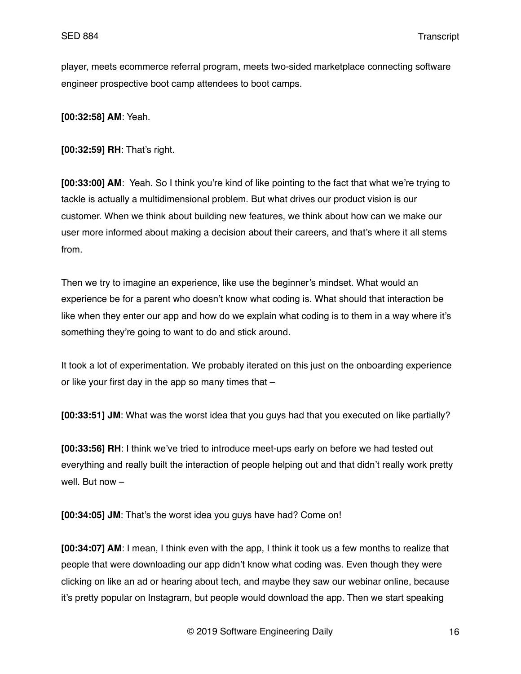player, meets ecommerce referral program, meets two-sided marketplace connecting software engineer prospective boot camp attendees to boot camps.

**[00:32:58] AM**: Yeah.

**[00:32:59] RH**: That's right.

**[00:33:00] AM**: Yeah. So I think you're kind of like pointing to the fact that what we're trying to tackle is actually a multidimensional problem. But what drives our product vision is our customer. When we think about building new features, we think about how can we make our user more informed about making a decision about their careers, and that's where it all stems from.

Then we try to imagine an experience, like use the beginner's mindset. What would an experience be for a parent who doesn't know what coding is. What should that interaction be like when they enter our app and how do we explain what coding is to them in a way where it's something they're going to want to do and stick around.

It took a lot of experimentation. We probably iterated on this just on the onboarding experience or like your first day in the app so many times that –

**[00:33:51] JM**: What was the worst idea that you guys had that you executed on like partially?

**[00:33:56] RH**: I think we've tried to introduce meet-ups early on before we had tested out everything and really built the interaction of people helping out and that didn't really work pretty well. But now –

**[00:34:05] JM**: That's the worst idea you guys have had? Come on!

**[00:34:07] AM**: I mean, I think even with the app, I think it took us a few months to realize that people that were downloading our app didn't know what coding was. Even though they were clicking on like an ad or hearing about tech, and maybe they saw our webinar online, because it's pretty popular on Instagram, but people would download the app. Then we start speaking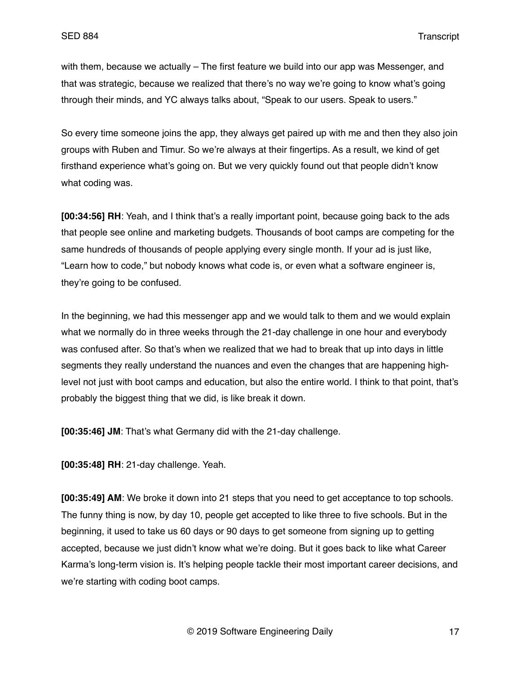with them, because we actually – The first feature we build into our app was Messenger, and that was strategic, because we realized that there's no way we're going to know what's going through their minds, and YC always talks about, "Speak to our users. Speak to users."

So every time someone joins the app, they always get paired up with me and then they also join groups with Ruben and Timur. So we're always at their fingertips. As a result, we kind of get firsthand experience what's going on. But we very quickly found out that people didn't know what coding was.

**[00:34:56] RH**: Yeah, and I think that's a really important point, because going back to the ads that people see online and marketing budgets. Thousands of boot camps are competing for the same hundreds of thousands of people applying every single month. If your ad is just like, "Learn how to code," but nobody knows what code is, or even what a software engineer is, they're going to be confused.

In the beginning, we had this messenger app and we would talk to them and we would explain what we normally do in three weeks through the 21-day challenge in one hour and everybody was confused after. So that's when we realized that we had to break that up into days in little segments they really understand the nuances and even the changes that are happening highlevel not just with boot camps and education, but also the entire world. I think to that point, that's probably the biggest thing that we did, is like break it down.

**[00:35:46] JM**: That's what Germany did with the 21-day challenge.

**[00:35:48] RH**: 21-day challenge. Yeah.

**[00:35:49] AM**: We broke it down into 21 steps that you need to get acceptance to top schools. The funny thing is now, by day 10, people get accepted to like three to five schools. But in the beginning, it used to take us 60 days or 90 days to get someone from signing up to getting accepted, because we just didn't know what we're doing. But it goes back to like what Career Karma's long-term vision is. It's helping people tackle their most important career decisions, and we're starting with coding boot camps.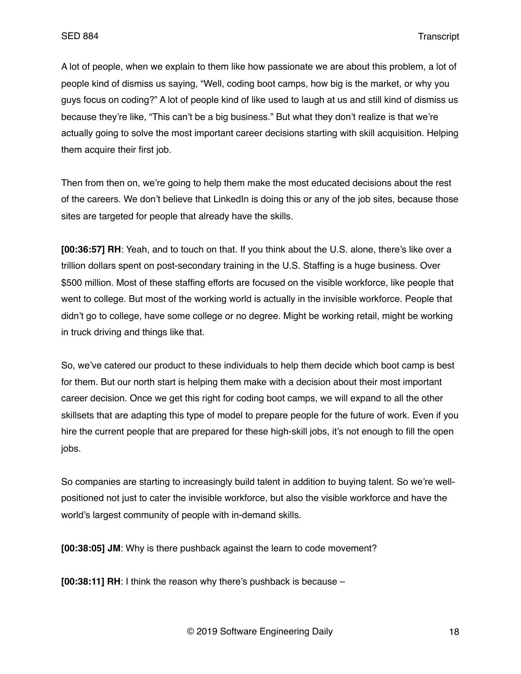A lot of people, when we explain to them like how passionate we are about this problem, a lot of people kind of dismiss us saying, "Well, coding boot camps, how big is the market, or why you guys focus on coding?" A lot of people kind of like used to laugh at us and still kind of dismiss us because they're like, "This can't be a big business." But what they don't realize is that we're actually going to solve the most important career decisions starting with skill acquisition. Helping them acquire their first job.

Then from then on, we're going to help them make the most educated decisions about the rest of the careers. We don't believe that LinkedIn is doing this or any of the job sites, because those sites are targeted for people that already have the skills.

**[00:36:57] RH**: Yeah, and to touch on that. If you think about the U.S. alone, there's like over a trillion dollars spent on post-secondary training in the U.S. Staffing is a huge business. Over \$500 million. Most of these staffing efforts are focused on the visible workforce, like people that went to college. But most of the working world is actually in the invisible workforce. People that didn't go to college, have some college or no degree. Might be working retail, might be working in truck driving and things like that.

So, we've catered our product to these individuals to help them decide which boot camp is best for them. But our north start is helping them make with a decision about their most important career decision. Once we get this right for coding boot camps, we will expand to all the other skillsets that are adapting this type of model to prepare people for the future of work. Even if you hire the current people that are prepared for these high-skill jobs, it's not enough to fill the open jobs.

So companies are starting to increasingly build talent in addition to buying talent. So we're wellpositioned not just to cater the invisible workforce, but also the visible workforce and have the world's largest community of people with in-demand skills.

**[00:38:05] JM**: Why is there pushback against the learn to code movement?

**[00:38:11] RH**: I think the reason why there's pushback is because –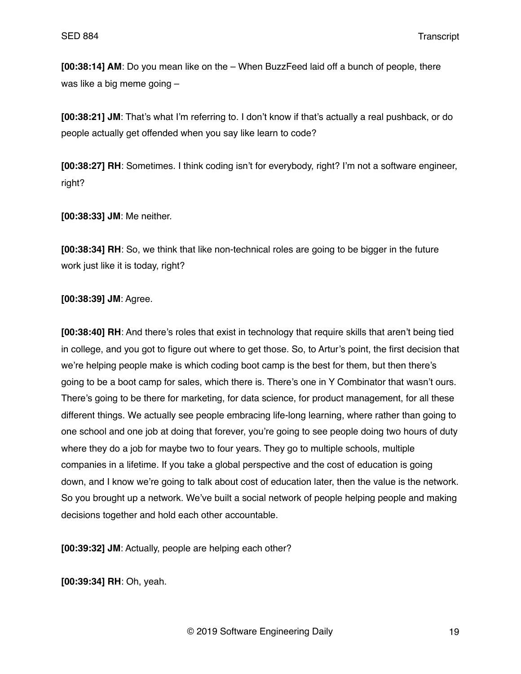**[00:38:14] AM**: Do you mean like on the – When BuzzFeed laid off a bunch of people, there was like a big meme going –

**[00:38:21] JM**: That's what I'm referring to. I don't know if that's actually a real pushback, or do people actually get offended when you say like learn to code?

**[00:38:27] RH**: Sometimes. I think coding isn't for everybody, right? I'm not a software engineer, right?

**[00:38:33] JM**: Me neither.

**[00:38:34] RH**: So, we think that like non-technical roles are going to be bigger in the future work just like it is today, right?

**[00:38:39] JM**: Agree.

**[00:38:40] RH**: And there's roles that exist in technology that require skills that aren't being tied in college, and you got to figure out where to get those. So, to Artur's point, the first decision that we're helping people make is which coding boot camp is the best for them, but then there's going to be a boot camp for sales, which there is. There's one in Y Combinator that wasn't ours. There's going to be there for marketing, for data science, for product management, for all these different things. We actually see people embracing life-long learning, where rather than going to one school and one job at doing that forever, you're going to see people doing two hours of duty where they do a job for maybe two to four years. They go to multiple schools, multiple companies in a lifetime. If you take a global perspective and the cost of education is going down, and I know we're going to talk about cost of education later, then the value is the network. So you brought up a network. We've built a social network of people helping people and making decisions together and hold each other accountable.

**[00:39:32] JM**: Actually, people are helping each other?

**[00:39:34] RH**: Oh, yeah.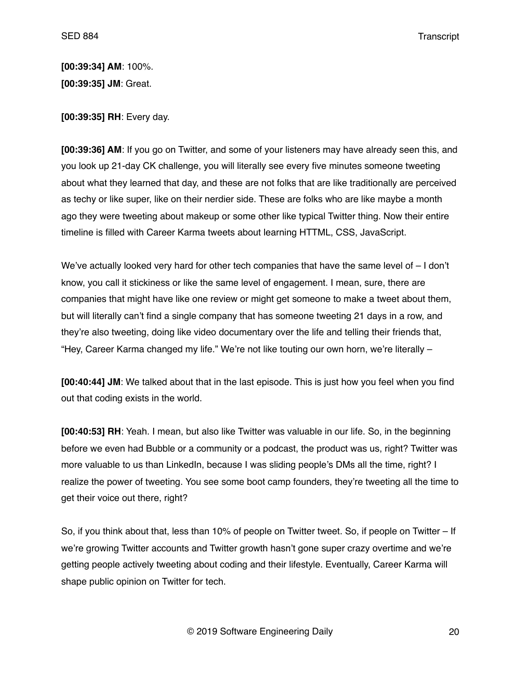**[00:39:34] AM**: 100%. **[00:39:35] JM**: Great.

**[00:39:35] RH**: Every day.

**[00:39:36] AM**: If you go on Twitter, and some of your listeners may have already seen this, and you look up 21-day CK challenge, you will literally see every five minutes someone tweeting about what they learned that day, and these are not folks that are like traditionally are perceived as techy or like super, like on their nerdier side. These are folks who are like maybe a month ago they were tweeting about makeup or some other like typical Twitter thing. Now their entire timeline is filled with Career Karma tweets about learning HTTML, CSS, JavaScript.

We've actually looked very hard for other tech companies that have the same level of – I don't know, you call it stickiness or like the same level of engagement. I mean, sure, there are companies that might have like one review or might get someone to make a tweet about them, but will literally can't find a single company that has someone tweeting 21 days in a row, and they're also tweeting, doing like video documentary over the life and telling their friends that, "Hey, Career Karma changed my life." We're not like touting our own horn, we're literally –

**[00:40:44] JM**: We talked about that in the last episode. This is just how you feel when you find out that coding exists in the world.

**[00:40:53] RH**: Yeah. I mean, but also like Twitter was valuable in our life. So, in the beginning before we even had Bubble or a community or a podcast, the product was us, right? Twitter was more valuable to us than LinkedIn, because I was sliding people's DMs all the time, right? I realize the power of tweeting. You see some boot camp founders, they're tweeting all the time to get their voice out there, right?

So, if you think about that, less than 10% of people on Twitter tweet. So, if people on Twitter – If we're growing Twitter accounts and Twitter growth hasn't gone super crazy overtime and we're getting people actively tweeting about coding and their lifestyle. Eventually, Career Karma will shape public opinion on Twitter for tech.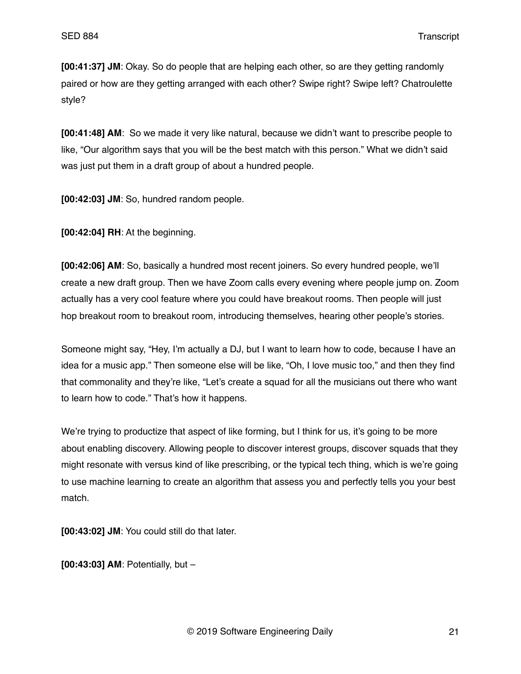**[00:41:37] JM**: Okay. So do people that are helping each other, so are they getting randomly paired or how are they getting arranged with each other? Swipe right? Swipe left? Chatroulette style?

**[00:41:48] AM**: So we made it very like natural, because we didn't want to prescribe people to like, "Our algorithm says that you will be the best match with this person." What we didn't said was just put them in a draft group of about a hundred people.

**[00:42:03] JM**: So, hundred random people.

**[00:42:04] RH**: At the beginning.

**[00:42:06] AM**: So, basically a hundred most recent joiners. So every hundred people, we'll create a new draft group. Then we have Zoom calls every evening where people jump on. Zoom actually has a very cool feature where you could have breakout rooms. Then people will just hop breakout room to breakout room, introducing themselves, hearing other people's stories.

Someone might say, "Hey, I'm actually a DJ, but I want to learn how to code, because I have an idea for a music app." Then someone else will be like, "Oh, I love music too," and then they find that commonality and they're like, "Let's create a squad for all the musicians out there who want to learn how to code." That's how it happens.

We're trying to productize that aspect of like forming, but I think for us, it's going to be more about enabling discovery. Allowing people to discover interest groups, discover squads that they might resonate with versus kind of like prescribing, or the typical tech thing, which is we're going to use machine learning to create an algorithm that assess you and perfectly tells you your best match.

**[00:43:02] JM**: You could still do that later.

**[00:43:03] AM**: Potentially, but –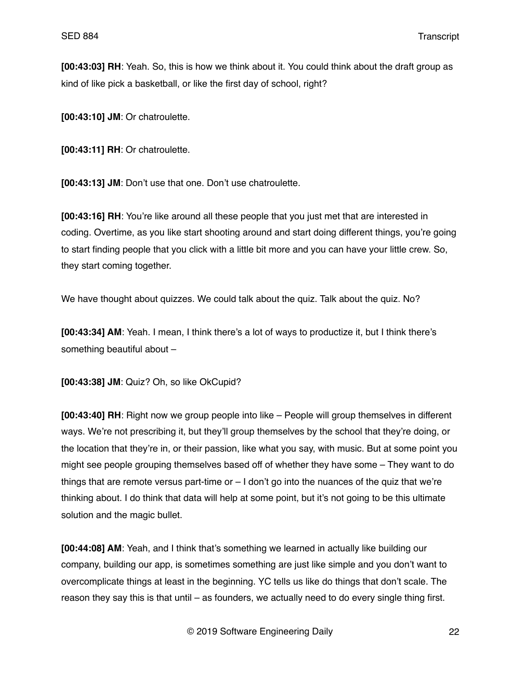**[00:43:03] RH**: Yeah. So, this is how we think about it. You could think about the draft group as kind of like pick a basketball, or like the first day of school, right?

**[00:43:10] JM**: Or chatroulette.

**[00:43:11] RH**: Or chatroulette.

**[00:43:13] JM**: Don't use that one. Don't use chatroulette.

**[00:43:16] RH**: You're like around all these people that you just met that are interested in coding. Overtime, as you like start shooting around and start doing different things, you're going to start finding people that you click with a little bit more and you can have your little crew. So, they start coming together.

We have thought about quizzes. We could talk about the quiz. Talk about the quiz. No?

**[00:43:34] AM**: Yeah. I mean, I think there's a lot of ways to productize it, but I think there's something beautiful about –

**[00:43:38] JM**: Quiz? Oh, so like OkCupid?

**[00:43:40] RH**: Right now we group people into like – People will group themselves in different ways. We're not prescribing it, but they'll group themselves by the school that they're doing, or the location that they're in, or their passion, like what you say, with music. But at some point you might see people grouping themselves based off of whether they have some – They want to do things that are remote versus part-time or  $-1$  don't go into the nuances of the quiz that we're thinking about. I do think that data will help at some point, but it's not going to be this ultimate solution and the magic bullet.

**[00:44:08] AM**: Yeah, and I think that's something we learned in actually like building our company, building our app, is sometimes something are just like simple and you don't want to overcomplicate things at least in the beginning. YC tells us like do things that don't scale. The reason they say this is that until – as founders, we actually need to do every single thing first.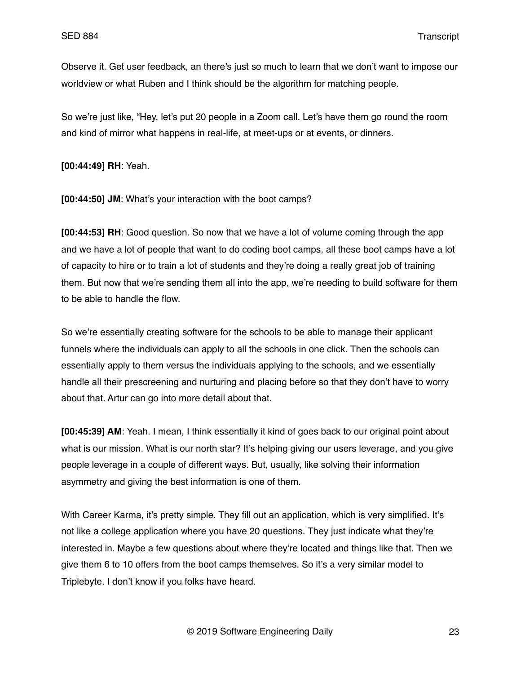Observe it. Get user feedback, an there's just so much to learn that we don't want to impose our worldview or what Ruben and I think should be the algorithm for matching people.

So we're just like, "Hey, let's put 20 people in a Zoom call. Let's have them go round the room and kind of mirror what happens in real-life, at meet-ups or at events, or dinners.

**[00:44:49] RH**: Yeah.

**[00:44:50] JM**: What's your interaction with the boot camps?

**[00:44:53] RH**: Good question. So now that we have a lot of volume coming through the app and we have a lot of people that want to do coding boot camps, all these boot camps have a lot of capacity to hire or to train a lot of students and they're doing a really great job of training them. But now that we're sending them all into the app, we're needing to build software for them to be able to handle the flow.

So we're essentially creating software for the schools to be able to manage their applicant funnels where the individuals can apply to all the schools in one click. Then the schools can essentially apply to them versus the individuals applying to the schools, and we essentially handle all their prescreening and nurturing and placing before so that they don't have to worry about that. Artur can go into more detail about that.

**[00:45:39] AM**: Yeah. I mean, I think essentially it kind of goes back to our original point about what is our mission. What is our north star? It's helping giving our users leverage, and you give people leverage in a couple of different ways. But, usually, like solving their information asymmetry and giving the best information is one of them.

With Career Karma, it's pretty simple. They fill out an application, which is very simplified. It's not like a college application where you have 20 questions. They just indicate what they're interested in. Maybe a few questions about where they're located and things like that. Then we give them 6 to 10 offers from the boot camps themselves. So it's a very similar model to Triplebyte. I don't know if you folks have heard.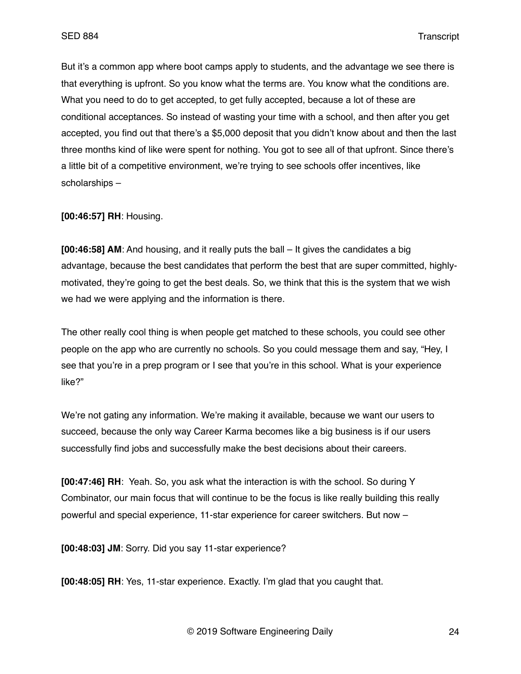But it's a common app where boot camps apply to students, and the advantage we see there is that everything is upfront. So you know what the terms are. You know what the conditions are. What you need to do to get accepted, to get fully accepted, because a lot of these are conditional acceptances. So instead of wasting your time with a school, and then after you get accepted, you find out that there's a \$5,000 deposit that you didn't know about and then the last three months kind of like were spent for nothing. You got to see all of that upfront. Since there's a little bit of a competitive environment, we're trying to see schools offer incentives, like scholarships –

**[00:46:57] RH**: Housing.

**[00:46:58] AM**: And housing, and it really puts the ball – It gives the candidates a big advantage, because the best candidates that perform the best that are super committed, highlymotivated, they're going to get the best deals. So, we think that this is the system that we wish we had we were applying and the information is there.

The other really cool thing is when people get matched to these schools, you could see other people on the app who are currently no schools. So you could message them and say, "Hey, I see that you're in a prep program or I see that you're in this school. What is your experience like?"

We're not gating any information. We're making it available, because we want our users to succeed, because the only way Career Karma becomes like a big business is if our users successfully find jobs and successfully make the best decisions about their careers.

**[00:47:46] RH**: Yeah. So, you ask what the interaction is with the school. So during Y Combinator, our main focus that will continue to be the focus is like really building this really powerful and special experience, 11-star experience for career switchers. But now –

**[00:48:03] JM**: Sorry. Did you say 11-star experience?

**[00:48:05] RH**: Yes, 11-star experience. Exactly. I'm glad that you caught that.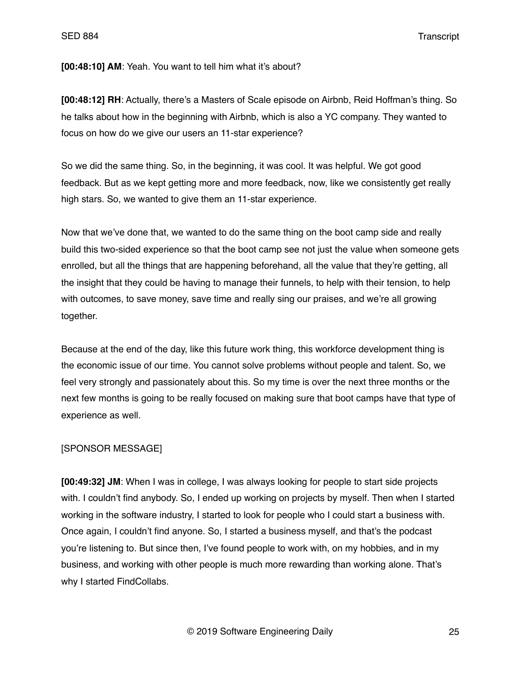**[00:48:10] AM**: Yeah. You want to tell him what it's about?

**[00:48:12] RH**: Actually, there's a Masters of Scale episode on Airbnb, Reid Hoffman's thing. So he talks about how in the beginning with Airbnb, which is also a YC company. They wanted to focus on how do we give our users an 11-star experience?

So we did the same thing. So, in the beginning, it was cool. It was helpful. We got good feedback. But as we kept getting more and more feedback, now, like we consistently get really high stars. So, we wanted to give them an 11-star experience.

Now that we've done that, we wanted to do the same thing on the boot camp side and really build this two-sided experience so that the boot camp see not just the value when someone gets enrolled, but all the things that are happening beforehand, all the value that they're getting, all the insight that they could be having to manage their funnels, to help with their tension, to help with outcomes, to save money, save time and really sing our praises, and we're all growing together.

Because at the end of the day, like this future work thing, this workforce development thing is the economic issue of our time. You cannot solve problems without people and talent. So, we feel very strongly and passionately about this. So my time is over the next three months or the next few months is going to be really focused on making sure that boot camps have that type of experience as well.

#### [SPONSOR MESSAGE]

**[00:49:32] JM**: When I was in college, I was always looking for people to start side projects with. I couldn't find anybody. So, I ended up working on projects by myself. Then when I started working in the software industry, I started to look for people who I could start a business with. Once again, I couldn't find anyone. So, I started a business myself, and that's the podcast you're listening to. But since then, I've found people to work with, on my hobbies, and in my business, and working with other people is much more rewarding than working alone. That's why I started FindCollabs.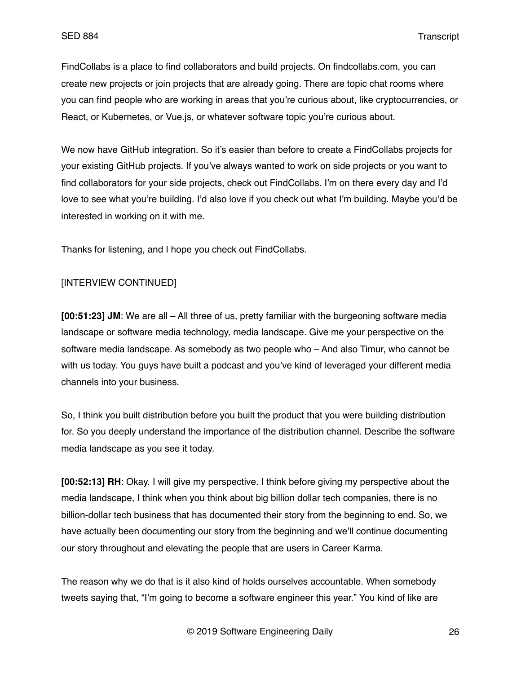FindCollabs is a place to find collaborators and build projects. On findcollabs.com, you can create new projects or join projects that are already going. There are topic chat rooms where you can find people who are working in areas that you're curious about, like cryptocurrencies, or React, or Kubernetes, or Vue.js, or whatever software topic you're curious about.

We now have GitHub integration. So it's easier than before to create a FindCollabs projects for your existing GitHub projects. If you've always wanted to work on side projects or you want to find collaborators for your side projects, check out FindCollabs. I'm on there every day and I'd love to see what you're building. I'd also love if you check out what I'm building. Maybe you'd be interested in working on it with me.

Thanks for listening, and I hope you check out FindCollabs.

# [INTERVIEW CONTINUED]

**[00:51:23] JM**: We are all – All three of us, pretty familiar with the burgeoning software media landscape or software media technology, media landscape. Give me your perspective on the software media landscape. As somebody as two people who – And also Timur, who cannot be with us today. You guys have built a podcast and you've kind of leveraged your different media channels into your business.

So, I think you built distribution before you built the product that you were building distribution for. So you deeply understand the importance of the distribution channel. Describe the software media landscape as you see it today.

**[00:52:13] RH**: Okay. I will give my perspective. I think before giving my perspective about the media landscape, I think when you think about big billion dollar tech companies, there is no billion-dollar tech business that has documented their story from the beginning to end. So, we have actually been documenting our story from the beginning and we'll continue documenting our story throughout and elevating the people that are users in Career Karma.

The reason why we do that is it also kind of holds ourselves accountable. When somebody tweets saying that, "I'm going to become a software engineer this year." You kind of like are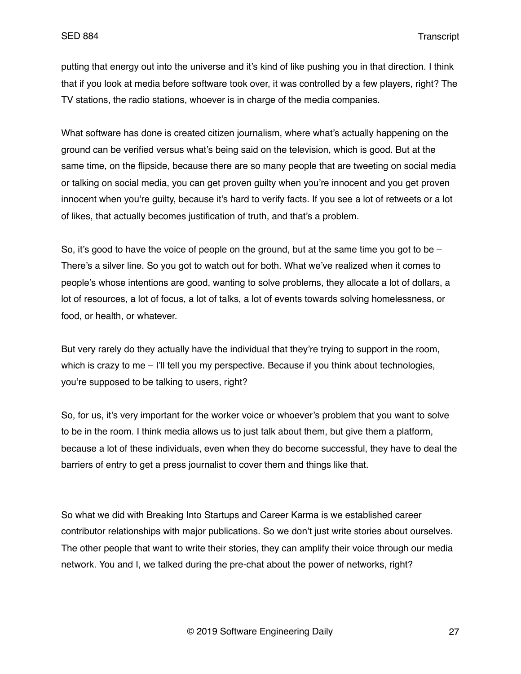putting that energy out into the universe and it's kind of like pushing you in that direction. I think that if you look at media before software took over, it was controlled by a few players, right? The TV stations, the radio stations, whoever is in charge of the media companies.

What software has done is created citizen journalism, where what's actually happening on the ground can be verified versus what's being said on the television, which is good. But at the same time, on the flipside, because there are so many people that are tweeting on social media or talking on social media, you can get proven guilty when you're innocent and you get proven innocent when you're guilty, because it's hard to verify facts. If you see a lot of retweets or a lot of likes, that actually becomes justification of truth, and that's a problem.

So, it's good to have the voice of people on the ground, but at the same time you got to be  $-$ There's a silver line. So you got to watch out for both. What we've realized when it comes to people's whose intentions are good, wanting to solve problems, they allocate a lot of dollars, a lot of resources, a lot of focus, a lot of talks, a lot of events towards solving homelessness, or food, or health, or whatever.

But very rarely do they actually have the individual that they're trying to support in the room, which is crazy to me – I'll tell you my perspective. Because if you think about technologies, you're supposed to be talking to users, right?

So, for us, it's very important for the worker voice or whoever's problem that you want to solve to be in the room. I think media allows us to just talk about them, but give them a platform, because a lot of these individuals, even when they do become successful, they have to deal the barriers of entry to get a press journalist to cover them and things like that.

So what we did with Breaking Into Startups and Career Karma is we established career contributor relationships with major publications. So we don't just write stories about ourselves. The other people that want to write their stories, they can amplify their voice through our media network. You and I, we talked during the pre-chat about the power of networks, right?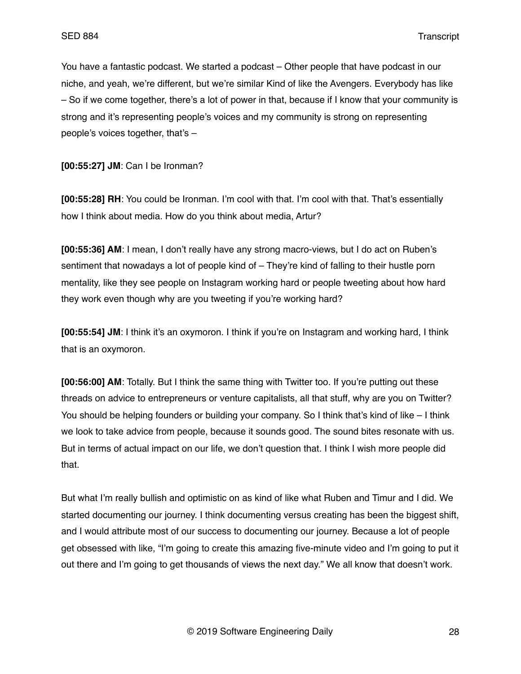You have a fantastic podcast. We started a podcast – Other people that have podcast in our niche, and yeah, we're different, but we're similar Kind of like the Avengers. Everybody has like – So if we come together, there's a lot of power in that, because if I know that your community is strong and it's representing people's voices and my community is strong on representing people's voices together, that's –

**[00:55:27] JM**: Can I be Ironman?

**[00:55:28] RH**: You could be Ironman. I'm cool with that. I'm cool with that. That's essentially how I think about media. How do you think about media, Artur?

**[00:55:36] AM**: I mean, I don't really have any strong macro-views, but I do act on Ruben's sentiment that nowadays a lot of people kind of – They're kind of falling to their hustle porn mentality, like they see people on Instagram working hard or people tweeting about how hard they work even though why are you tweeting if you're working hard?

**[00:55:54] JM**: I think it's an oxymoron. I think if you're on Instagram and working hard, I think that is an oxymoron.

**[00:56:00] AM**: Totally. But I think the same thing with Twitter too. If you're putting out these threads on advice to entrepreneurs or venture capitalists, all that stuff, why are you on Twitter? You should be helping founders or building your company. So I think that's kind of like – I think we look to take advice from people, because it sounds good. The sound bites resonate with us. But in terms of actual impact on our life, we don't question that. I think I wish more people did that.

But what I'm really bullish and optimistic on as kind of like what Ruben and Timur and I did. We started documenting our journey. I think documenting versus creating has been the biggest shift, and I would attribute most of our success to documenting our journey. Because a lot of people get obsessed with like, "I'm going to create this amazing five-minute video and I'm going to put it out there and I'm going to get thousands of views the next day." We all know that doesn't work.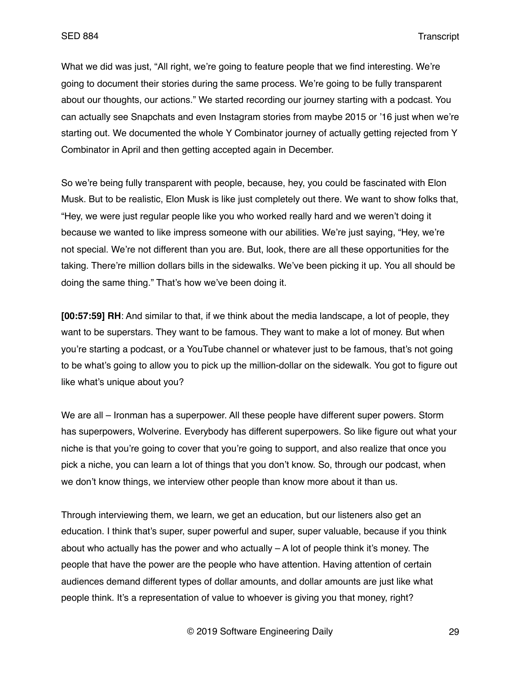What we did was just, "All right, we're going to feature people that we find interesting. We're going to document their stories during the same process. We're going to be fully transparent about our thoughts, our actions." We started recording our journey starting with a podcast. You can actually see Snapchats and even Instagram stories from maybe 2015 or '16 just when we're starting out. We documented the whole Y Combinator journey of actually getting rejected from Y Combinator in April and then getting accepted again in December.

So we're being fully transparent with people, because, hey, you could be fascinated with Elon Musk. But to be realistic, Elon Musk is like just completely out there. We want to show folks that, "Hey, we were just regular people like you who worked really hard and we weren't doing it because we wanted to like impress someone with our abilities. We're just saying, "Hey, we're not special. We're not different than you are. But, look, there are all these opportunities for the taking. There're million dollars bills in the sidewalks. We've been picking it up. You all should be doing the same thing." That's how we've been doing it.

**[00:57:59] RH**: And similar to that, if we think about the media landscape, a lot of people, they want to be superstars. They want to be famous. They want to make a lot of money. But when you're starting a podcast, or a YouTube channel or whatever just to be famous, that's not going to be what's going to allow you to pick up the million-dollar on the sidewalk. You got to figure out like what's unique about you?

We are all – Ironman has a superpower. All these people have different super powers. Storm has superpowers, Wolverine. Everybody has different superpowers. So like figure out what your niche is that you're going to cover that you're going to support, and also realize that once you pick a niche, you can learn a lot of things that you don't know. So, through our podcast, when we don't know things, we interview other people than know more about it than us.

Through interviewing them, we learn, we get an education, but our listeners also get an education. I think that's super, super powerful and super, super valuable, because if you think about who actually has the power and who actually  $- A$  lot of people think it's money. The people that have the power are the people who have attention. Having attention of certain audiences demand different types of dollar amounts, and dollar amounts are just like what people think. It's a representation of value to whoever is giving you that money, right?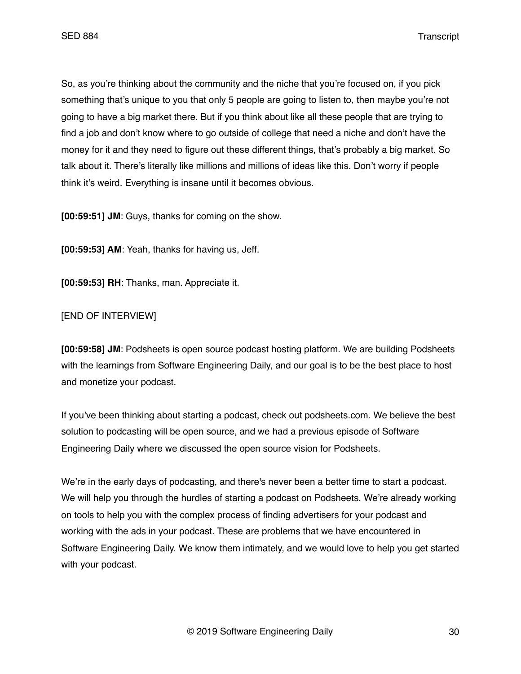So, as you're thinking about the community and the niche that you're focused on, if you pick something that's unique to you that only 5 people are going to listen to, then maybe you're not going to have a big market there. But if you think about like all these people that are trying to find a job and don't know where to go outside of college that need a niche and don't have the money for it and they need to figure out these different things, that's probably a big market. So talk about it. There's literally like millions and millions of ideas like this. Don't worry if people think it's weird. Everything is insane until it becomes obvious.

**[00:59:51] JM**: Guys, thanks for coming on the show.

**[00:59:53] AM**: Yeah, thanks for having us, Jeff.

**[00:59:53] RH**: Thanks, man. Appreciate it.

### [END OF INTERVIEW]

**[00:59:58] JM**: Podsheets is open source podcast hosting platform. We are building Podsheets with the learnings from Software Engineering Daily, and our goal is to be the best place to host and monetize your podcast.

If you've been thinking about starting a podcast, check out podsheets.com. We believe the best solution to podcasting will be open source, and we had a previous episode of Software Engineering Daily where we discussed the open source vision for Podsheets.

We're in the early days of podcasting, and there's never been a better time to start a podcast. We will help you through the hurdles of starting a podcast on Podsheets. We're already working on tools to help you with the complex process of finding advertisers for your podcast and working with the ads in your podcast. These are problems that we have encountered in Software Engineering Daily. We know them intimately, and we would love to help you get started with your podcast.